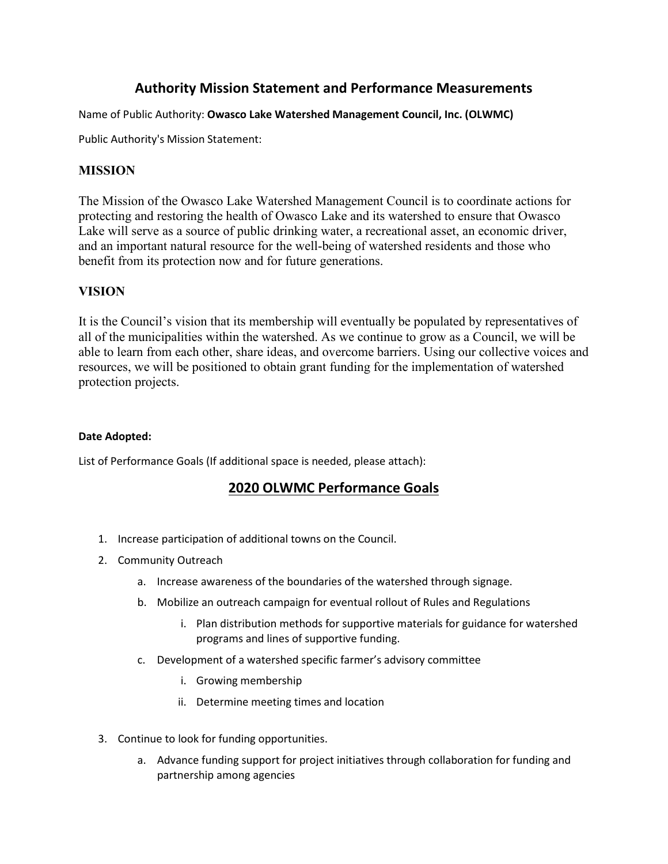# **Authority Mission Statement and Performance Measurements**

Name of Public Authority: **Owasco Lake Watershed Management Council, Inc. (OLWMC)**

Public Authority's Mission Statement:

## **MISSION**

The Mission of the Owasco Lake Watershed Management Council is to coordinate actions for protecting and restoring the health of Owasco Lake and its watershed to ensure that Owasco Lake will serve as a source of public drinking water, a recreational asset, an economic driver, and an important natural resource for the well-being of watershed residents and those who benefit from its protection now and for future generations.

### **VISION**

It is the Council's vision that its membership will eventually be populated by representatives of all of the municipalities within the watershed. As we continue to grow as a Council, we will be able to learn from each other, share ideas, and overcome barriers. Using our collective voices and resources, we will be positioned to obtain grant funding for the implementation of watershed protection projects.

#### **Date Adopted:**

List of Performance Goals (If additional space is needed, please attach):

## **2020 OLWMC Performance Goals**

- 1. Increase participation of additional towns on the Council.
- 2. Community Outreach
	- a. Increase awareness of the boundaries of the watershed through signage.
	- b. Mobilize an outreach campaign for eventual rollout of Rules and Regulations
		- i. Plan distribution methods for supportive materials for guidance for watershed programs and lines of supportive funding.
	- c. Development of a watershed specific farmer's advisory committee
		- i. Growing membership
		- ii. Determine meeting times and location
- 3. Continue to look for funding opportunities.
	- a. Advance funding support for project initiatives through collaboration for funding and partnership among agencies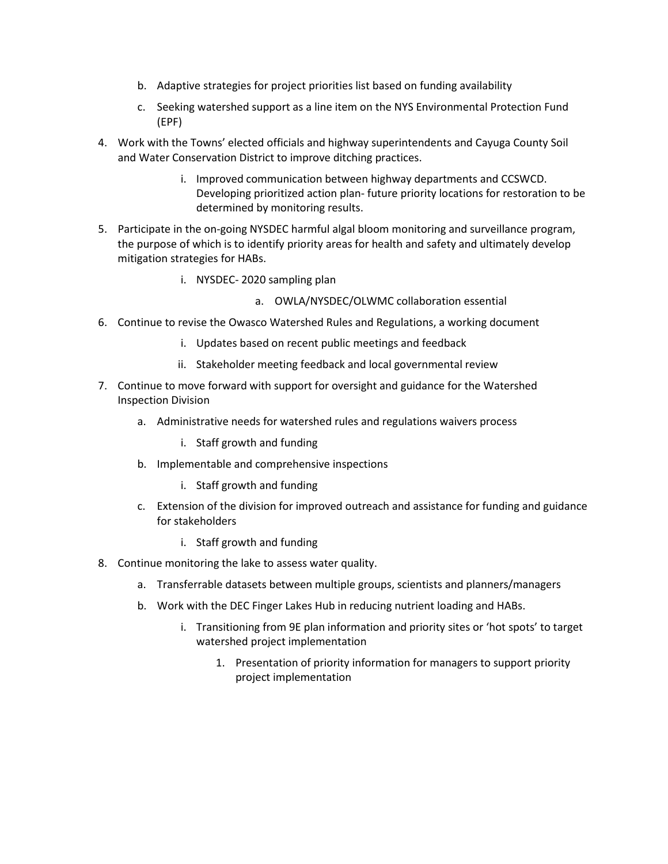- b. Adaptive strategies for project priorities list based on funding availability
- c. Seeking watershed support as a line item on the NYS Environmental Protection Fund (EPF)
- 4. Work with the Towns' elected officials and highway superintendents and Cayuga County Soil and Water Conservation District to improve ditching practices.
	- i. Improved communication between highway departments and CCSWCD. Developing prioritized action plan- future priority locations for restoration to be determined by monitoring results.
- 5. Participate in the on-going NYSDEC harmful algal bloom monitoring and surveillance program, the purpose of which is to identify priority areas for health and safety and ultimately develop mitigation strategies for HABs.
	- i. NYSDEC- 2020 sampling plan
		- a. OWLA/NYSDEC/OLWMC collaboration essential
- 6. Continue to revise the Owasco Watershed Rules and Regulations, a working document
	- i. Updates based on recent public meetings and feedback
	- ii. Stakeholder meeting feedback and local governmental review
- 7. Continue to move forward with support for oversight and guidance for the Watershed Inspection Division
	- a. Administrative needs for watershed rules and regulations waivers process
		- i. Staff growth and funding
	- b. Implementable and comprehensive inspections
		- i. Staff growth and funding
	- c. Extension of the division for improved outreach and assistance for funding and guidance for stakeholders
		- i. Staff growth and funding
- 8. Continue monitoring the lake to assess water quality.
	- a. Transferrable datasets between multiple groups, scientists and planners/managers
	- b. Work with the DEC Finger Lakes Hub in reducing nutrient loading and HABs.
		- i. Transitioning from 9E plan information and priority sites or 'hot spots' to target watershed project implementation
			- 1. Presentation of priority information for managers to support priority project implementation